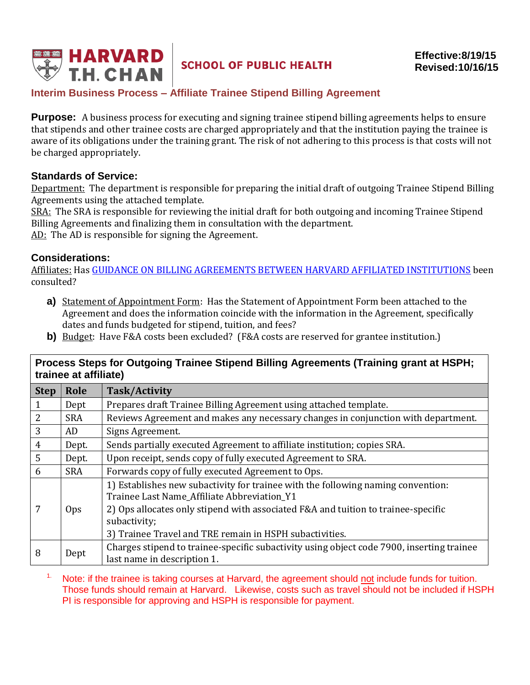

# **SCHOOL OF PUBLIC HEALTH**

## **Interim Business Process – Affiliate Trainee Stipend Billing Agreement**

**Purpose:** A business process for executing and signing trainee stipend billing agreements helps to ensure that stipends and other trainee costs are charged appropriately and that the institution paying the trainee is aware of its obligations under the training grant. The risk of not adhering to this process is that costs will not be charged appropriately.

#### **Standards of Service:**

Department: The department is responsible for preparing the initial draft of outgoing Trainee Stipend Billing Agreements using the attached template.

SRA: The SRA is responsible for reviewing the initial draft for both outgoing and incoming Trainee Stipend Billing Agreements and finalizing them in consultation with the department.

AD: The AD is responsible for signing the Agreement.

#### **Considerations:**

Affiliates: Has [GUIDANCE ON BILLING AGREEMENTS BETWEEN HARVARD AFFILIATED INSTITUTIONS](https://hcsra.sph.harvard.edu/files/hcsra/files/billing-agreements-guidance-harvard-affiliates.pdf) been consulted?

- **a)** Statement of Appointment Form: Has the Statement of Appointment Form been attached to the Agreement and does the information coincide with the information in the Agreement, specifically dates and funds budgeted for stipend, tuition, and fees?
- **b**) Budget: Have F&A costs been excluded? (F&A costs are reserved for grantee institution.)

### **Process Steps for Outgoing Trainee Stipend Billing Agreements (Training grant at HSPH; trainee at affiliate)**

| <b>Step</b> | Role       | <b>Task/Activity</b>                                                                                                                                                                                                 |
|-------------|------------|----------------------------------------------------------------------------------------------------------------------------------------------------------------------------------------------------------------------|
|             | Dept       | Prepares draft Trainee Billing Agreement using attached template.                                                                                                                                                    |
| 2           | <b>SRA</b> | Reviews Agreement and makes any necessary changes in conjunction with department.                                                                                                                                    |
| 3           | AD         | Signs Agreement.                                                                                                                                                                                                     |
| 4           | Dept.      | Sends partially executed Agreement to affiliate institution; copies SRA.                                                                                                                                             |
| 5           | Dept.      | Upon receipt, sends copy of fully executed Agreement to SRA.                                                                                                                                                         |
| 6           | <b>SRA</b> | Forwards copy of fully executed Agreement to Ops.                                                                                                                                                                    |
| 7           | Ops.       | 1) Establishes new subactivity for trainee with the following naming convention:<br>Trainee Last Name_Affiliate Abbreviation_Y1<br>2) Ops allocates only stipend with associated F&A and tuition to trainee-specific |
|             |            | subactivity;<br>3) Trainee Travel and TRE remain in HSPH subactivities.                                                                                                                                              |
| 8           | Dept       | Charges stipend to trainee-specific subactivity using object code 7900, inserting trainee<br>last name in description 1.                                                                                             |

<sup>1.</sup> Note: if the trainee is taking courses at Harvard, the agreement should not include funds for tuition. Those funds should remain at Harvard. Likewise, costs such as travel should not be included if HSPH PI is responsible for approving and HSPH is responsible for payment.